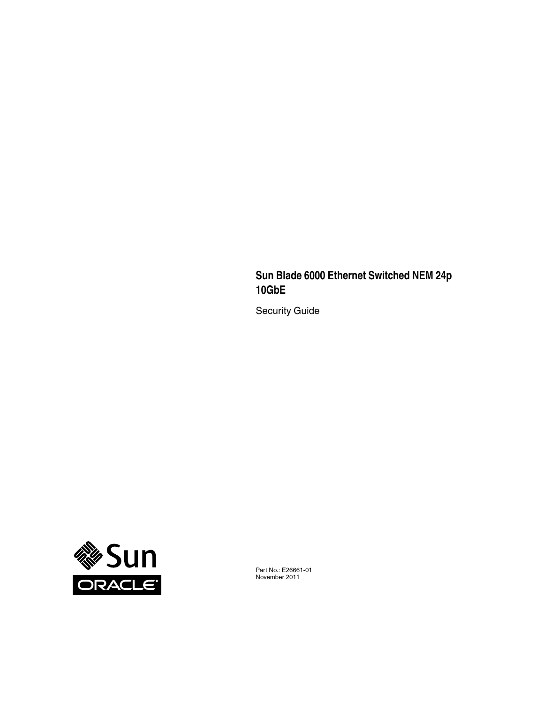#### **Sun Blade 6000 Ethernet Switched NEM 24p 10GbE**

Security Guide



Part No.: E26661-01 November 2011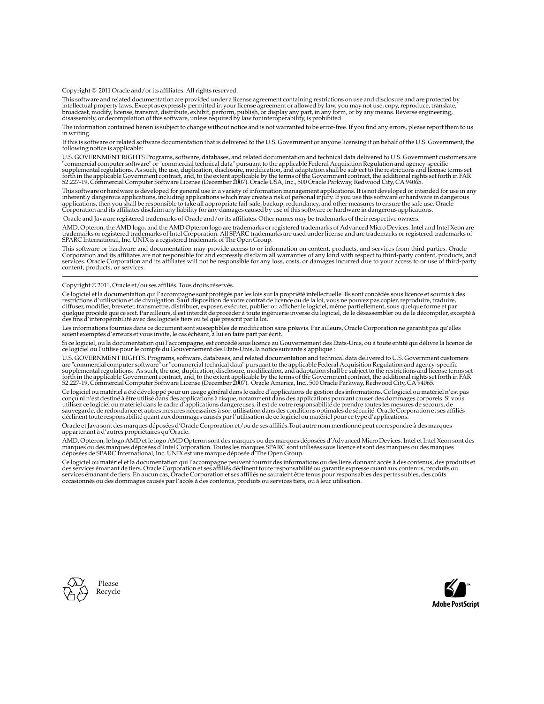Copyright © 2011 Oracle and/or its affiliates. All rights reserved.

This software and related documentation are provided under a license agreement containing restrictions on use and disclosure and are protected by intellectual property laws. Except as expressly permitted in your license agreement or allowed by law, you may not use, copy, reproduce, translate,<br>broadcast, modify, license, transmit, distribute, exhibit, perform, publis

The information contained herein is subject to change without notice and is not warranted to be error-free. If you find any errors, please report them to us in writing.

If this is software or related software documentation that is delivered to the U.S. Government or anyone licensing it on behalf of the U.S. Government, the following notice is applicable:

U.S. GOVERNMENT RIGHTS Programs, software, databases, and related documentation and technical data delivered to U.S. Government customers are "commercial computer software" or "commercial technical data" pursuant to the applicable Federal Acquisition Regulation and agency-specific<br>supplemental regulations. As such, the use, duplication, disclosure, modification, 52.227-19, Commercial Computer Software License (December 2007). Oracle USA, Inc., 500 Oracle Parkway, Redwood City, CA 94065.

This software or hardware is developed for general use in a variety of information management applications. It is not developed or intended for use in any<br>inherently dangerous applications, including applications which may applications, then you shall be responsible to take all appropriate fail-safe, backup, redundancy, and other measures to ensure the safe use. Oracle Corporation and its affiliates disclaim any liability for any damages caused by use of this software or hardware in dangerous applications.

Oracle and Java are registered trademarks of Oracle and/or its affiliates. Other names may be trademarks of their respective owners.

AMD, Opteron, the AMD logo, and the AMD Opteron logo are trademarks or registered trademarks of Advanced Micro Devices. Intel and Intel Xeon are<br>trademarks or registered trademarks of Intel Corporation. All SPARC trademark SPARC International, Inc. UNIX is a registered trademark of The Open Group.

This software or hardware and documentation may provide access to or information on content, products, and services from third parties. Oracle Corporation and its affiliates are not responsible for and expressly disclaim all warranties of any kind with respect to third-party content, products, and services. Oracle Corporation and its affiliates will not be responsible for any loss, costs, or damages incurred due to your access to or use of third-party content, products, or services.

#### Copyright © 2011, Oracle et/ou ses affiliés. Tous droits réservés.

Ce logiciel et la documentation qui l'accompagne sont protégés par les lois sur la propriété intellectuelle. Ils sont concédés sous licence et soumis à des<br>restrictions d'utilisation et de divulgation. Sauf disposition de

Les informations fournies dans ce document sont susceptibles de modification sans préavis. Par ailleurs, Oracle Corporation ne garantit pas qu'elles soient exemptes d'erreurs et vous invite, le cas échéant, à lui en faire

Si ce logiciel, ou la documentation qui l'accompagne, est concédé sous licence au Gouvernement des Etats-Unis, ou à toute entité qui délivre la licence de ce logiciel ou l'utilise pour le compte du Gouvernement des Etats-Unis, la notice suivante s'applique :

U.S. GOVERNMENT RIGHTS. Programs, software, databases, and related documentation and technical data delivered to U.S. Government customers are "commercial computer software" or "commercial technical data" pursuant to the applicable Federal Acquisition Regulation and agency-specific supplemental regulations. As such, the use, duplication, disclosure, modification, and adaptation shall be subject to the restrictions and license terms set forth in the applicable Government contract, and, to the extent applicable by the terms of the Government contract, the additional rights set forth in FAR<br>52.227-19, Commercial Computer Software License (December 2007). Or

Ce logiciel ou matériel a été développé pour un usage général dans le cadre d'applications de gestion des informations. Ce logiciel ou matériel n'est pas<br>conçu ni n'est destiné à être utilisé dans des applications à risque utilisez ce logiciel ou matériel dans le cadre d'applications dangereuses, il est de votre responsabilité de prendre toutes les mesures de secours, de<br>sauvegarde, de redondance et autres mesures nécessaires à son utilisati déclinent toute responsabilité quant aux dommages causés par l'utilisation de ce logiciel ou matériel pour ce type d'applications.

Oracle et Java sont des marques déposées d'Oracle Corporation et/ou de ses affiliés.Tout autre nom mentionné peut correspondre à des marques appartenant à d'autres propriétaires qu'Oracle.

AMD, Opteron, le logo AMD et le logo AMD Opteron sont des marques ou des marques déposées d'Advanced Micro Devices. Intel et Intel Xeon sont des<br>marques ou des marques déposées d'Intel Corporation. Toutes les marques SPARC

Ce logiciel ou matériel et la documentation qui l'accompagne peuvent fournir des informations ou des liens donnant accès à des contenus, des produits et des services émanant de tiers. Oracle Corporation et ses affiliés déclinent toute responsabilité ou garantie expresse quant aux contenus, produits ou services émanant de tiers. En aucun cas, Oracle Corporation et ses affiliés ne sauraient être tenus pour responsables des pertes subies, des coûts occasionnés ou des dommages causés par l'accès à des contenus, produits ou services tiers, ou à leur utilisation.



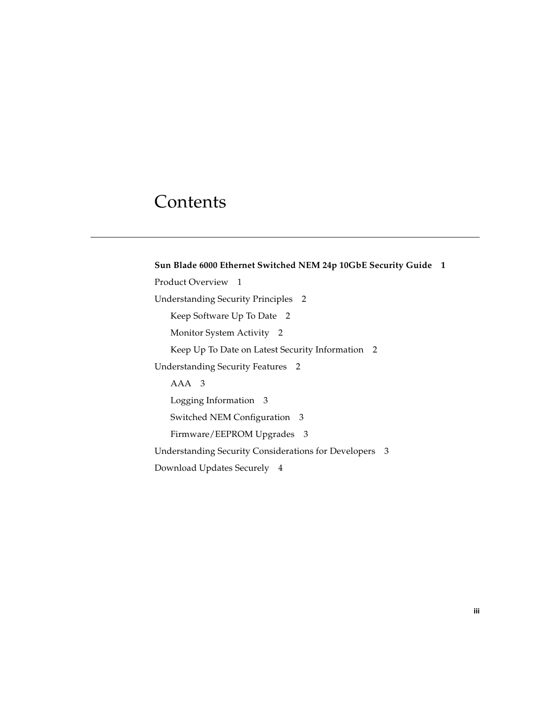### Contents

**[Sun Blade 6000 Ethernet Switched NEM 24p 10GbE Security Guide 1](#page-4-0)** [Product Overview](#page-4-1) 1 [Understanding Security Principles 2](#page-5-0) [Keep Software Up To Date 2](#page-5-1) [Monitor System Activity](#page-5-2) 2 [Keep Up To Date on Latest Security Information 2](#page-5-3) [Understanding Security Features](#page-5-4) 2 [AAA 3](#page-6-0) [Logging Information 3](#page-6-1) [Switched NEM Configuration 3](#page-6-2) [Firmware/EEPROM Upgrades 3](#page-6-3) [Understanding Security Considerations for Developers 3](#page-6-4) [Download Updates Securely](#page-7-0) 4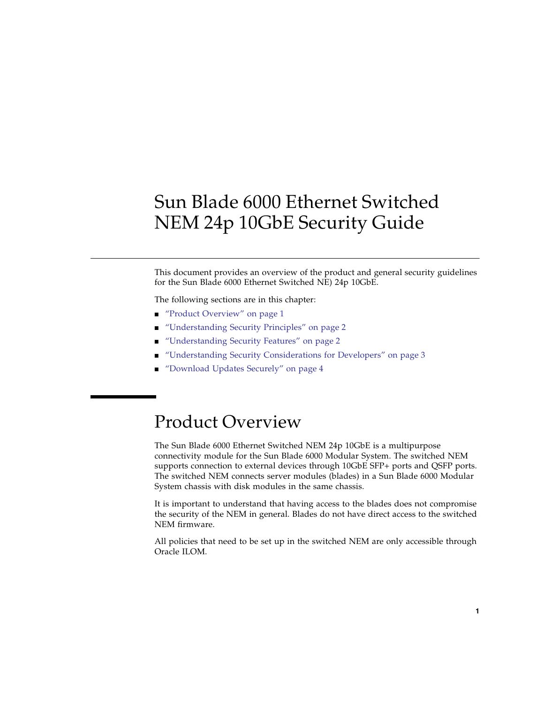# <span id="page-4-0"></span>Sun Blade 6000 Ethernet Switched NEM 24p 10GbE Security Guide

This document provides an overview of the product and general security guidelines for the Sun Blade 6000 Ethernet Switched NE) 24p 10GbE.

The following sections are in this chapter:

- ["Product Overview" on page 1](#page-4-1)
- ["Understanding Security Principles" on page 2](#page-5-0)
- ["Understanding Security Features" on page 2](#page-5-4)
- ["Understanding Security Considerations for Developers" on page 3](#page-6-4)
- ["Download Updates Securely" on page 4](#page-7-0)

## <span id="page-4-1"></span>Product Overview

The Sun Blade 6000 Ethernet Switched NEM 24p 10GbE is a multipurpose connectivity module for the Sun Blade 6000 Modular System. The switched NEM supports connection to external devices through 10GbE SFP+ ports and QSFP ports. The switched NEM connects server modules (blades) in a Sun Blade 6000 Modular System chassis with disk modules in the same chassis.

It is important to understand that having access to the blades does not compromise the security of the NEM in general. Blades do not have direct access to the switched NEM firmware.

All policies that need to be set up in the switched NEM are only accessible through Oracle ILOM.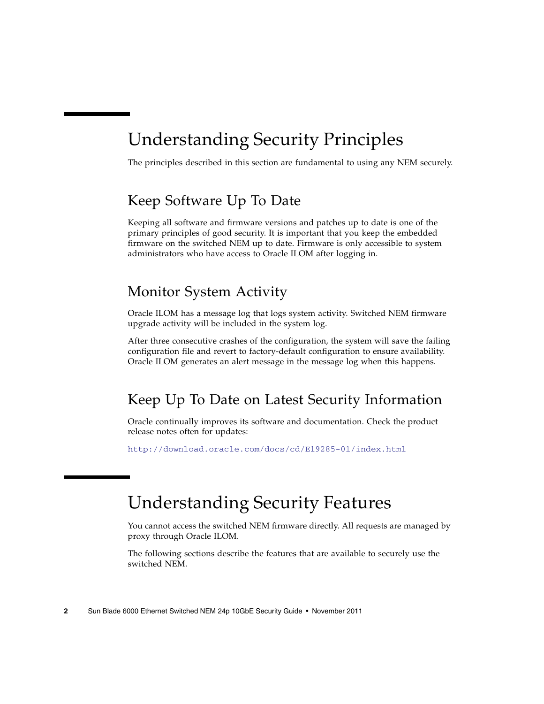# <span id="page-5-0"></span>Understanding Security Principles

The principles described in this section are fundamental to using any NEM securely.

### <span id="page-5-1"></span>Keep Software Up To Date

Keeping all software and firmware versions and patches up to date is one of the primary principles of good security. It is important that you keep the embedded firmware on the switched NEM up to date. Firmware is only accessible to system administrators who have access to Oracle ILOM after logging in.

#### <span id="page-5-2"></span>Monitor System Activity

Oracle ILOM has a message log that logs system activity. Switched NEM firmware upgrade activity will be included in the system log.

After three consecutive crashes of the configuration, the system will save the failing configuration file and revert to factory-default configuration to ensure availability. Oracle ILOM generates an alert message in the message log when this happens.

### <span id="page-5-3"></span>Keep Up To Date on Latest Security Information

Oracle continually improves its software and documentation. Check the product release notes often for updates:

<http://download.oracle.com/docs/cd/E19285-01/index.html>

# <span id="page-5-4"></span>Understanding Security Features

You cannot access the switched NEM firmware directly. All requests are managed by proxy through Oracle ILOM.

The following sections describe the features that are available to securely use the switched NEM.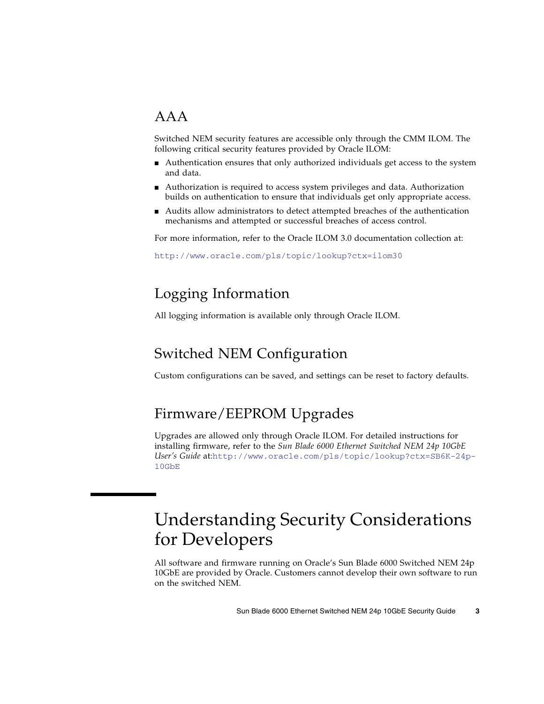### <span id="page-6-0"></span>AAA

Switched NEM security features are accessible only through the CMM ILOM. The following critical security features provided by Oracle ILOM:

- Authentication ensures that only authorized individuals get access to the system and data.
- Authorization is required to access system privileges and data. Authorization builds on authentication to ensure that individuals get only appropriate access.
- Audits allow administrators to detect attempted breaches of the authentication mechanisms and attempted or successful breaches of access control.

For more information, refer to the Oracle ILOM 3.0 documentation collection at:

<http://www.oracle.com/pls/topic/lookup?ctx=ilom30>

### <span id="page-6-1"></span>Logging Information

All logging information is available only through Oracle ILOM.

### <span id="page-6-2"></span>Switched NEM Configuration

Custom configurations can be saved, and settings can be reset to factory defaults.

### <span id="page-6-3"></span>Firmware/EEPROM Upgrades

Upgrades are allowed only through Oracle ILOM. For detailed instructions for installing firmware, refer to the *Sun Blade 6000 Ethernet Switched NEM 24p 10GbE User's Guide* at:[http://www.oracle.com/pls/topic/lookup?ctx=SB6K-24p-](http://www.oracle.com/pls/topic/lookup?ctx=SB6K-24p-10GbE)[10GbE](http://www.oracle.com/pls/topic/lookup?ctx=SB6K-24p-10GbE)

# <span id="page-6-4"></span>Understanding Security Considerations for Developers

All software and firmware running on Oracle's Sun Blade 6000 Switched NEM 24p 10GbE are provided by Oracle. Customers cannot develop their own software to run on the switched NEM.